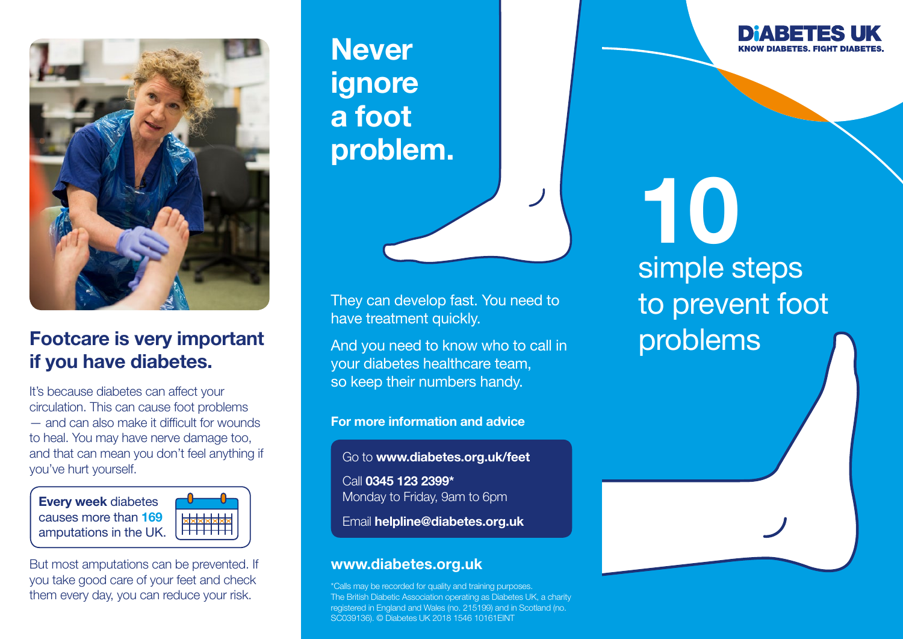

# **Footcare is very important** and you need to know who to call in **problems** if you have diabetes.

It's because diabetes can affect your circulation. This can cause foot problems — and can also make it difficult for wounds to heal. You may have nerve damage too, and that can mean you don't feel anything if you've hurt yourself.

Every week diabetes causes more than 169 amputations in the UK.



But most amputations can be prevented. If you take good care of your feet and check them every day, you can reduce your risk.

**Never** ignore a foot problem.

They can develop fast. You need to have treatment quickly.

And you need to know who to call in your diabetes healthcare team, so keep their numbers handy.

For more information and advice

Go to www.diabetes.org.uk/feet

Call 0345 123 2399\* Monday to Friday, 9am to 6pm

Email helpline@diabetes.org.uk

### www.diabetes.org.uk

\*Calls may be recorded for quality and training purposes. The British Diabetic Association operating as Diabetes UK, a charity registered in England and Wales (no. 215199) and in Scotland (no. SC039136). © Diabetes UK 2018 1546 10161EINT

10 simple steps to prevent foot

DMARE